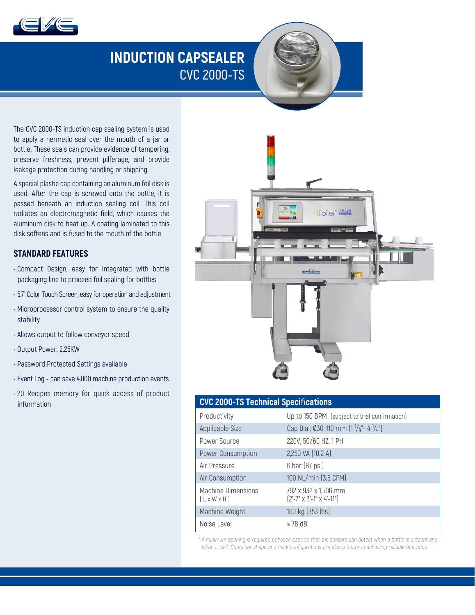

# **INDUCTION CAPSEALER CVC 2000-TS**

The CVC 2000-TS induction cap sealing system is used to apply a hermetic seal over the mouth of a jar or bottle. These seals can provide evidence of tampering, preserve freshness, prevent pilferage, and provide leakage protection during handling or shipping.

A special plastic cap containing an aluminum foil disk is used. After the cap is screwed onto the bottle, it is passed beneath an induction sealing coil. This coil radiates an electromagnetic field, which causes the aluminum disk to heat up. A coating laminated to this disk softens and is fused to the mouth of the bottle.

## **STANDARD FEATURES**

- Compact Design, easy for integrated with bottle packaging line to proceed foil sealing for bottles
- 5.7" Color Touch Screen, easy for operation and adjustment
- Microprocessor control system to ensure the quality stability
- Allows output to follow conveyor speed
- Output Power: 2.25KW
- Password Protected Settings available
- Event Log can save 4,000 machine production events
- 20 Recipes memory for quick access of product information



| <b>CVC 2000-TS Technical Specifications</b> |  |
|---------------------------------------------|--|
|---------------------------------------------|--|

| Productivity                                         | Up to 150 BPM (subject to trial confirmation)                |
|------------------------------------------------------|--------------------------------------------------------------|
| Applicable Size                                      | Cap Dia.: Ø30-110 mm (1 $\frac{1}{4}$ "- 4 $\frac{1}{4}$ ")  |
| Power Source                                         | 220V, 50/60 HZ, 1 PH                                         |
| Power Consumption                                    | 2,250 VA (10.2 A)                                            |
| Air Pressure                                         | 6 bar (87 psi)                                               |
| Air Consumption                                      | 100 NL/min [3.5 CFM]                                         |
| <b>Machine Dimensions</b><br>$[L \times W \times H]$ | 792 x 932 x 1,506 mm<br>$[2'-7" \times 3'-1" \times 4'-11"]$ |
| Machine Weight                                       | 160 kg [353 lbs]                                             |
| Noise Level                                          | $\leq$ 78 dB                                                 |

\* A minimum opening is required between caps so that the sensors can detect when a bottle is present and when it isn't. Container shape and neck configurations are also a factor in achieving reliable operation.